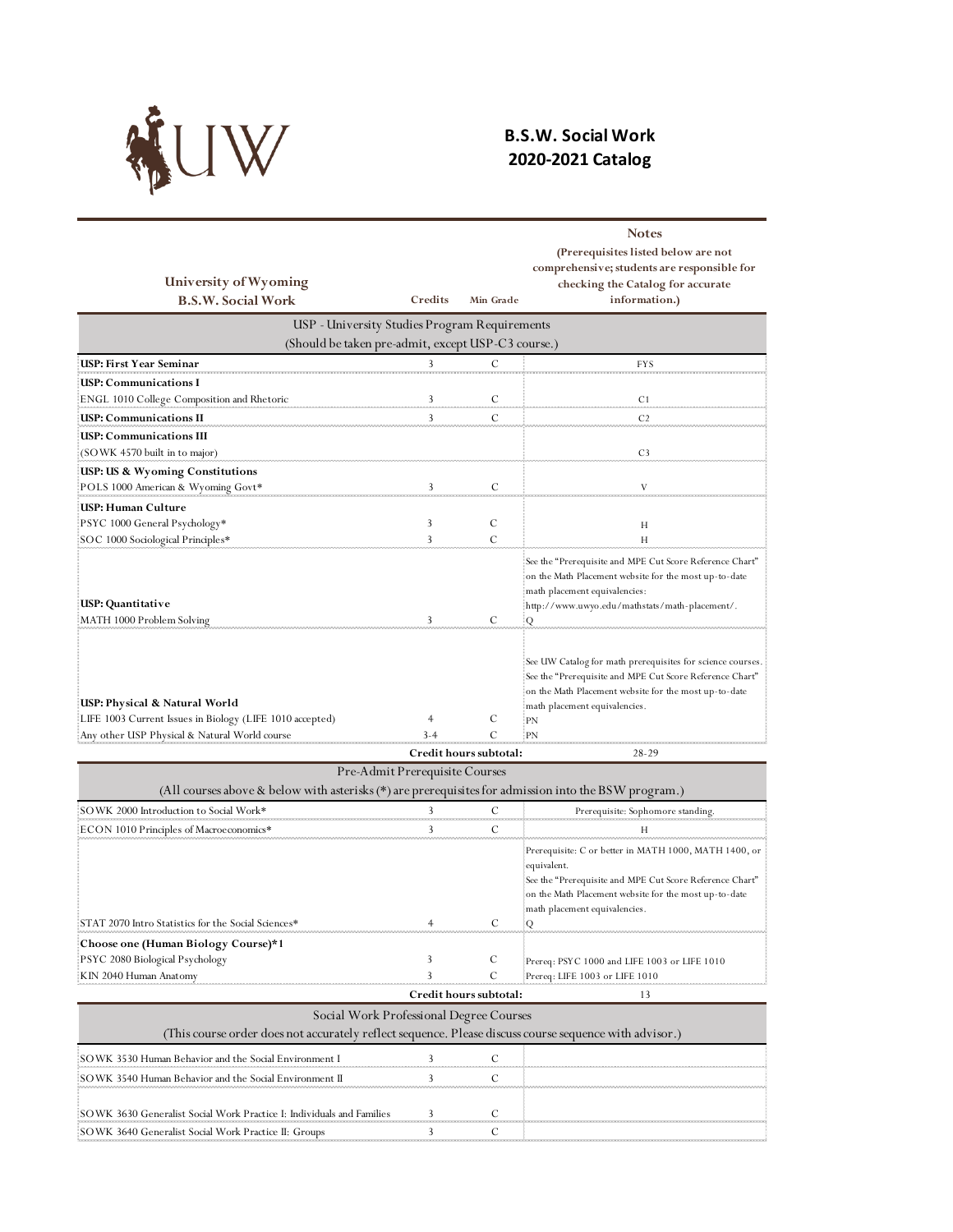

## **B.S.W. Social Work 2020-2021 Catalog**

| University of Wyoming                                                                                                                      |                                                    |                        | <b>Notes</b><br>(Prerequisites listed below are not<br>comprehensive; students are responsible for<br>checking the Catalog for accurate                                                                                        |
|--------------------------------------------------------------------------------------------------------------------------------------------|----------------------------------------------------|------------------------|--------------------------------------------------------------------------------------------------------------------------------------------------------------------------------------------------------------------------------|
| <b>B.S.W. Social Work</b>                                                                                                                  | Credits                                            | Min Grade              | information.)                                                                                                                                                                                                                  |
|                                                                                                                                            | USP - University Studies Program Requirements      |                        |                                                                                                                                                                                                                                |
|                                                                                                                                            | (Should be taken pre-admit, except USP-C3 course.) |                        |                                                                                                                                                                                                                                |
| USP: First Year Seminar                                                                                                                    |                                                    | C                      | <b>FYS</b>                                                                                                                                                                                                                     |
| USP: Communications I                                                                                                                      |                                                    |                        |                                                                                                                                                                                                                                |
| ENGL 1010 College Composition and Rhetoric                                                                                                 | 3                                                  | C                      | C1                                                                                                                                                                                                                             |
| USP: Communications II                                                                                                                     | 3                                                  | C                      | C <sub>2</sub>                                                                                                                                                                                                                 |
| USP: Communications III<br>(SOWK 4570 built in to major)                                                                                   |                                                    |                        | C <sub>3</sub>                                                                                                                                                                                                                 |
| <b>USP: US &amp; Wyoming Constitutions</b>                                                                                                 |                                                    |                        |                                                                                                                                                                                                                                |
| POLS 1000 American & Wyoming Govt*                                                                                                         | 3                                                  | C                      | V                                                                                                                                                                                                                              |
| USP: Human Culture                                                                                                                         |                                                    |                        |                                                                                                                                                                                                                                |
| PSYC 1000 General Psychology*                                                                                                              | 3                                                  | C                      | H                                                                                                                                                                                                                              |
| SOC 1000 Sociological Principles*                                                                                                          | 3                                                  | $\mathcal{C}$          | Н                                                                                                                                                                                                                              |
| USP: Quantitative<br>MATH 1000 Problem Solving!                                                                                            | 3                                                  | C                      | See the "Prerequisite and MPE Cut Score Reference Chart"<br>on the Math Placement website for the most up-to-date<br>math placement equivalencies:<br>http://www.uwyo.edu/mathstats/math-placement/.<br>Q                      |
| USP: Physical & Natural World<br>LIFE 1003 Current Issues in Biology (LIFE 1010 accepted)<br>Any other USP Physical & Natural World course | 4                                                  | С<br>C                 | See UW Catalog for math prerequisites for science courses.<br>See the "Prerequisite and MPE Cut Score Reference Chart"<br>on the Math Placement website for the most up-to-date<br>math placement equivalencies.<br>:PN<br>:PN |
|                                                                                                                                            |                                                    | Credit hours subtotal: | $28-29$                                                                                                                                                                                                                        |
| (All courses above & below with asterisks (*) are prerequisites for admission into the BSW program.)                                       | Pre-Admit Prerequisite Courses                     |                        |                                                                                                                                                                                                                                |
| SOWK 2000 Introduction to Social Work*                                                                                                     |                                                    | $\subset$              | Prezequisite: Sanhamare standing                                                                                                                                                                                               |

| $\mu$ . The courses above $\alpha$ below when ascensive ( ) are prerequisites for admission medicine bown program.                                |   |                        |                                                                                                                                                                                                                                 |
|---------------------------------------------------------------------------------------------------------------------------------------------------|---|------------------------|---------------------------------------------------------------------------------------------------------------------------------------------------------------------------------------------------------------------------------|
| SOWK 2000 Introduction to Social Work*                                                                                                            |   |                        | Prerequisite: Sophomore standing.                                                                                                                                                                                               |
| ON 1010 Principles of Macroeconomics*                                                                                                             |   |                        |                                                                                                                                                                                                                                 |
| STAT 2070 Intro Statistics for the Social Sciences*                                                                                               |   |                        | Prerequisite: C or better in MATH 1000, MATH 1400, or<br>equivalent.<br>See the "Prerequisite and MPE Cut Score Reference Chart"<br>on the Math Placement website for the most up-to-date<br>math placement equivalencies.<br>0 |
| Choose one (Human Biology Course)*1                                                                                                               |   |                        |                                                                                                                                                                                                                                 |
| PSYC 2080 Biological Psychology                                                                                                                   |   | C                      | Prereq: PSYC 1000 and LIFE 1003 or LIFE 1010                                                                                                                                                                                    |
| KIN 2040 Human Anatomy                                                                                                                            |   |                        | Prereq: LIFE 1003 or LIFE 1010                                                                                                                                                                                                  |
|                                                                                                                                                   |   | Credit hours subtotal: | 13                                                                                                                                                                                                                              |
| Social Work Professional Degree Courses<br>(This course order does not accurately reflect sequence. Please discuss course sequence with advisor.) |   |                        |                                                                                                                                                                                                                                 |
| SOWK 3530 Human Behavior and the Social Environment I                                                                                             |   |                        |                                                                                                                                                                                                                                 |
| OWK 3540 Human Behavior and the Social Environment I                                                                                              |   |                        |                                                                                                                                                                                                                                 |
| SOWK 3630 Generalist Social Work Practice I: Individuals and Families                                                                             |   |                        |                                                                                                                                                                                                                                 |
| SOWK 3640 Generalist Social Work Practice II: Groups                                                                                              | 3 | С                      |                                                                                                                                                                                                                                 |